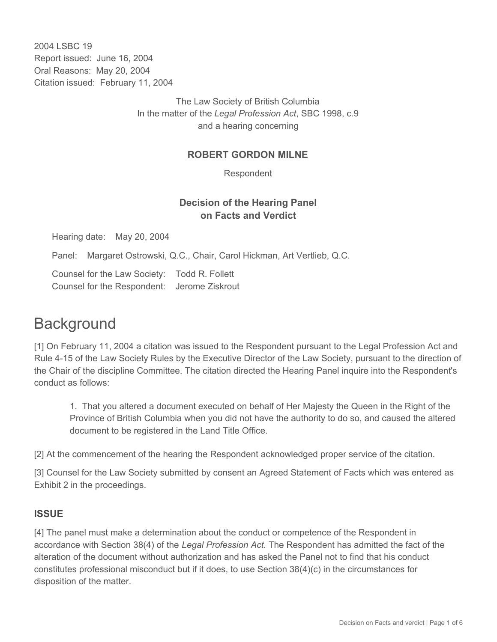2004 LSBC 19 Report issued: June 16, 2004 Oral Reasons: May 20, 2004 Citation issued: February 11, 2004

> The Law Society of British Columbia In the matter of the *Legal Profession Act*, SBC 1998, c.9 and a hearing concerning

## **ROBERT GORDON MILNE**

Respondent

## **Decision of the Hearing Panel on Facts and Verdict**

Hearing date: May 20, 2004

Panel: Margaret Ostrowski, Q.C., Chair, Carol Hickman, Art Vertlieb, Q.C.

Counsel for the Law Society: Todd R. Follett Counsel for the Respondent: Jerome Ziskrout

# **Background**

[1] On February 11, 2004 a citation was issued to the Respondent pursuant to the Legal Profession Act and Rule 4-15 of the Law Society Rules by the Executive Director of the Law Society, pursuant to the direction of the Chair of the discipline Committee. The citation directed the Hearing Panel inquire into the Respondent's conduct as follows:

1. That you altered a document executed on behalf of Her Majesty the Queen in the Right of the Province of British Columbia when you did not have the authority to do so, and caused the altered document to be registered in the Land Title Office.

[2] At the commencement of the hearing the Respondent acknowledged proper service of the citation.

[3] Counsel for the Law Society submitted by consent an Agreed Statement of Facts which was entered as Exhibit 2 in the proceedings.

### **ISSUE**

[4] The panel must make a determination about the conduct or competence of the Respondent in accordance with Section 38(4) of the *Legal Profession Act.* The Respondent has admitted the fact of the alteration of the document without authorization and has asked the Panel not to find that his conduct constitutes professional misconduct but if it does, to use Section 38(4)(c) in the circumstances for disposition of the matter.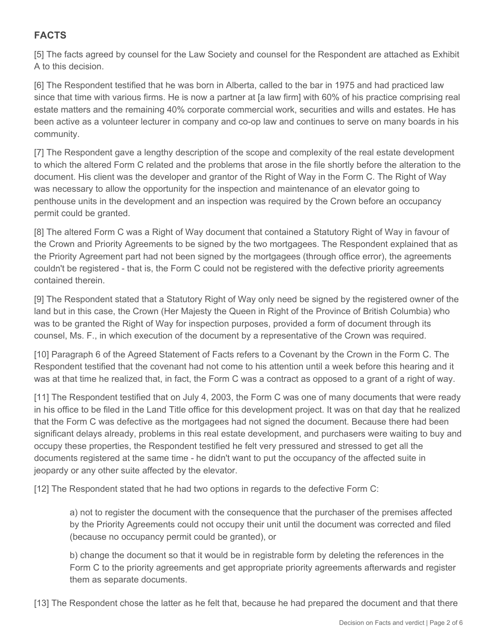## **FACTS**

[5] The facts agreed by counsel for the Law Society and counsel for the Respondent are attached as Exhibit A to this decision.

[6] The Respondent testified that he was born in Alberta, called to the bar in 1975 and had practiced law since that time with various firms. He is now a partner at [a law firm] with 60% of his practice comprising real estate matters and the remaining 40% corporate commercial work, securities and wills and estates. He has been active as a volunteer lecturer in company and co-op law and continues to serve on many boards in his community.

[7] The Respondent gave a lengthy description of the scope and complexity of the real estate development to which the altered Form C related and the problems that arose in the file shortly before the alteration to the document. His client was the developer and grantor of the Right of Way in the Form C. The Right of Way was necessary to allow the opportunity for the inspection and maintenance of an elevator going to penthouse units in the development and an inspection was required by the Crown before an occupancy permit could be granted.

[8] The altered Form C was a Right of Way document that contained a Statutory Right of Way in favour of the Crown and Priority Agreements to be signed by the two mortgagees. The Respondent explained that as the Priority Agreement part had not been signed by the mortgagees (through office error), the agreements couldn't be registered - that is, the Form C could not be registered with the defective priority agreements contained therein.

[9] The Respondent stated that a Statutory Right of Way only need be signed by the registered owner of the land but in this case, the Crown (Her Majesty the Queen in Right of the Province of British Columbia) who was to be granted the Right of Way for inspection purposes, provided a form of document through its counsel, Ms. F., in which execution of the document by a representative of the Crown was required.

[10] Paragraph 6 of the Agreed Statement of Facts refers to a Covenant by the Crown in the Form C. The Respondent testified that the covenant had not come to his attention until a week before this hearing and it was at that time he realized that, in fact, the Form C was a contract as opposed to a grant of a right of way.

[11] The Respondent testified that on July 4, 2003, the Form C was one of many documents that were ready in his office to be filed in the Land Title office for this development project. It was on that day that he realized that the Form C was defective as the mortgagees had not signed the document. Because there had been significant delays already, problems in this real estate development, and purchasers were waiting to buy and occupy these properties, the Respondent testified he felt very pressured and stressed to get all the documents registered at the same time - he didn't want to put the occupancy of the affected suite in jeopardy or any other suite affected by the elevator.

[12] The Respondent stated that he had two options in regards to the defective Form C:

a) not to register the document with the consequence that the purchaser of the premises affected by the Priority Agreements could not occupy their unit until the document was corrected and filed (because no occupancy permit could be granted), or

b) change the document so that it would be in registrable form by deleting the references in the Form C to the priority agreements and get appropriate priority agreements afterwards and register them as separate documents.

[13] The Respondent chose the latter as he felt that, because he had prepared the document and that there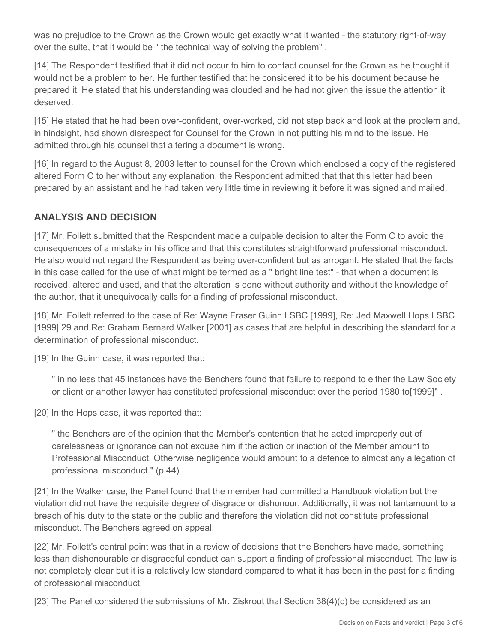was no prejudice to the Crown as the Crown would get exactly what it wanted - the statutory right-of-way over the suite, that it would be " the technical way of solving the problem" .

[14] The Respondent testified that it did not occur to him to contact counsel for the Crown as he thought it would not be a problem to her. He further testified that he considered it to be his document because he prepared it. He stated that his understanding was clouded and he had not given the issue the attention it deserved.

[15] He stated that he had been over-confident, over-worked, did not step back and look at the problem and, in hindsight, had shown disrespect for Counsel for the Crown in not putting his mind to the issue. He admitted through his counsel that altering a document is wrong.

[16] In regard to the August 8, 2003 letter to counsel for the Crown which enclosed a copy of the registered altered Form C to her without any explanation, the Respondent admitted that that this letter had been prepared by an assistant and he had taken very little time in reviewing it before it was signed and mailed.

## **ANALYSIS AND DECISION**

[17] Mr. Follett submitted that the Respondent made a culpable decision to alter the Form C to avoid the consequences of a mistake in his office and that this constitutes straightforward professional misconduct. He also would not regard the Respondent as being over-confident but as arrogant. He stated that the facts in this case called for the use of what might be termed as a " bright line test" - that when a document is received, altered and used, and that the alteration is done without authority and without the knowledge of the author, that it unequivocally calls for a finding of professional misconduct.

[18] Mr. Follett referred to the case of Re: Wayne Fraser Guinn LSBC [1999], Re: Jed Maxwell Hops LSBC [1999] 29 and Re: Graham Bernard Walker [2001] as cases that are helpful in describing the standard for a determination of professional misconduct.

[19] In the Guinn case, it was reported that:

" in no less that 45 instances have the Benchers found that failure to respond to either the Law Society or client or another lawyer has constituted professional misconduct over the period 1980 to[1999]" .

[20] In the Hops case, it was reported that:

" the Benchers are of the opinion that the Member's contention that he acted improperly out of carelessness or ignorance can not excuse him if the action or inaction of the Member amount to Professional Misconduct. Otherwise negligence would amount to a defence to almost any allegation of professional misconduct." (p.44)

[21] In the Walker case, the Panel found that the member had committed a Handbook violation but the violation did not have the requisite degree of disgrace or dishonour. Additionally, it was not tantamount to a breach of his duty to the state or the public and therefore the violation did not constitute professional misconduct. The Benchers agreed on appeal.

[22] Mr. Follett's central point was that in a review of decisions that the Benchers have made, something less than dishonourable or disgraceful conduct can support a finding of professional misconduct. The law is not completely clear but it is a relatively low standard compared to what it has been in the past for a finding of professional misconduct.

[23] The Panel considered the submissions of Mr. Ziskrout that Section 38(4)(c) be considered as an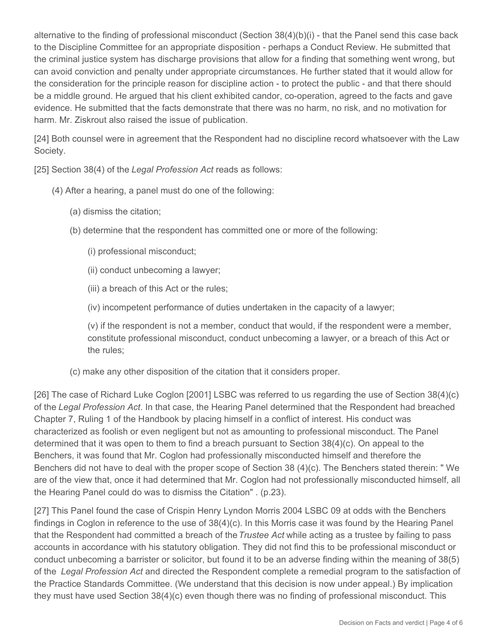alternative to the finding of professional misconduct (Section 38(4)(b)(i) - that the Panel send this case back to the Discipline Committee for an appropriate disposition - perhaps a Conduct Review. He submitted that the criminal justice system has discharge provisions that allow for a finding that something went wrong, but can avoid conviction and penalty under appropriate circumstances. He further stated that it would allow for the consideration for the principle reason for discipline action - to protect the public - and that there should be a middle ground. He argued that his client exhibited candor, co-operation, agreed to the facts and gave evidence. He submitted that the facts demonstrate that there was no harm, no risk, and no motivation for harm. Mr. Ziskrout also raised the issue of publication.

[24] Both counsel were in agreement that the Respondent had no discipline record whatsoever with the Law Society.

[25] Section 38(4) of the *Legal Profession Act* reads as follows:

- (4) After a hearing, a panel must do one of the following:
	- (a) dismiss the citation;
	- (b) determine that the respondent has committed one or more of the following:
		- (i) professional misconduct;
		- (ii) conduct unbecoming a lawyer;
		- (iii) a breach of this Act or the rules;
		- (iv) incompetent performance of duties undertaken in the capacity of a lawyer;

(v) if the respondent is not a member, conduct that would, if the respondent were a member, constitute professional misconduct, conduct unbecoming a lawyer, or a breach of this Act or the rules;

(c) make any other disposition of the citation that it considers proper.

[26] The case of Richard Luke Coglon [2001] LSBC was referred to us regarding the use of Section 38(4)(c) of the *Legal Profession Act*. In that case, the Hearing Panel determined that the Respondent had breached Chapter 7, Ruling 1 of the Handbook by placing himself in a conflict of interest. His conduct was characterized as foolish or even negligent but not as amounting to professional misconduct. The Panel determined that it was open to them to find a breach pursuant to Section 38(4)(c). On appeal to the Benchers, it was found that Mr. Coglon had professionally misconducted himself and therefore the Benchers did not have to deal with the proper scope of Section 38 (4)(c). The Benchers stated therein: " We are of the view that, once it had determined that Mr. Coglon had not professionally misconducted himself, all the Hearing Panel could do was to dismiss the Citation" . (p.23).

[27] This Panel found the case of Crispin Henry Lyndon Morris 2004 LSBC 09 at odds with the Benchers findings in Coglon in reference to the use of 38(4)(c). In this Morris case it was found by the Hearing Panel that the Respondent had committed a breach of the *Trustee Act* while acting as a trustee by failing to pass accounts in accordance with his statutory obligation. They did not find this to be professional misconduct or conduct unbecoming a barrister or solicitor, but found it to be an adverse finding within the meaning of 38(5) of the *Legal Profession Act* and directed the Respondent complete a remedial program to the satisfaction of the Practice Standards Committee. (We understand that this decision is now under appeal.) By implication they must have used Section 38(4)(c) even though there was no finding of professional misconduct. This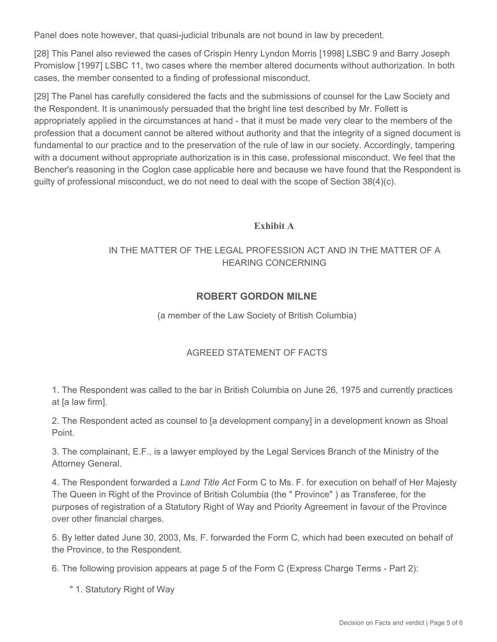Panel does note however, that quasi-judicial tribunals are not bound in law by precedent.

[28] This Panel also reviewed the cases of Crispin Henry Lyndon Morris [1998] LSBC 9 and Barry Joseph Promislow [1997] LSBC 11, two cases where the member altered documents without authorization. In both cases, the member consented to a finding of professional misconduct.

[29] The Panel has carefully considered the facts and the submissions of counsel for the Law Society and the Respondent. It is unanimously persuaded that the bright line test described by Mr. Follett is appropriately applied in the circumstances at hand - that it must be made very clear to the members of the profession that a document cannot be altered without authority and that the integrity of a signed document is fundamental to our practice and to the preservation of the rule of law in our society. Accordingly, tampering with a document without appropriate authorization is in this case, professional misconduct. We feel that the Bencher's reasoning in the Coglon case applicable here and because we have found that the Respondent is guilty of professional misconduct, we do not need to deal with the scope of Section 38(4)(c).

### **Exhibit A**

## IN THE MATTER OF THE LEGAL PROFESSION ACT AND IN THE MATTER OF A HEARING CONCERNING

## **ROBERT GORDON MILNE**

(a member of the Law Society of British Columbia)

### AGREED STATEMENT OF FACTS

1. The Respondent was called to the bar in British Columbia on June 26, 1975 and currently practices at [a law firm].

2. The Respondent acted as counsel to [a development company] in a development known as Shoal Point.

3. The complainant, E.F., is a lawyer employed by the Legal Services Branch of the Ministry of the Attorney General.

4. The Respondent forwarded a *Land Title Act* Form C to Ms. F. for execution on behalf of Her Majesty The Queen in Right of the Province of British Columbia (the " Province" ) as Transferee, for the purposes of registration of a Statutory Right of Way and Priority Agreement in favour of the Province over other financial charges.

5. By letter dated June 30, 2003, Ms. F. forwarded the Form C, which had been executed on behalf of the Province, to the Respondent.

6. The following provision appears at page 5 of the Form C (Express Charge Terms - Part 2):

" 1. Statutory Right of Way